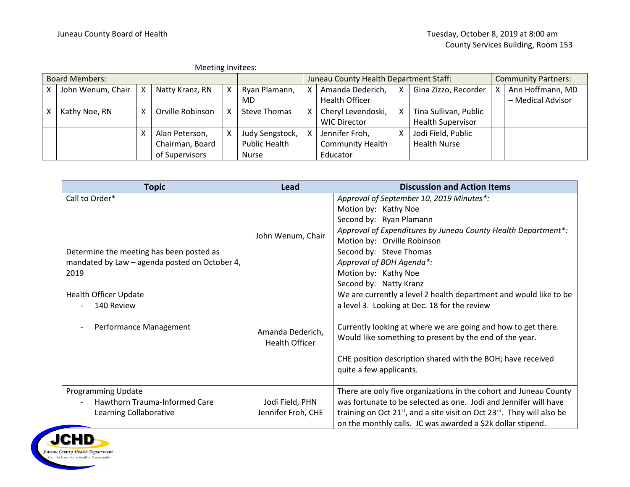| Meeting Invitees:     |                   |   |                  |  |                      |                                        |                         |   |                            |  |                   |
|-----------------------|-------------------|---|------------------|--|----------------------|----------------------------------------|-------------------------|---|----------------------------|--|-------------------|
| <b>Board Members:</b> |                   |   |                  |  |                      | Juneau County Health Department Staff: |                         |   | <b>Community Partners:</b> |  |                   |
|                       | John Wenum, Chair | X | Natty Kranz, RN  |  | Ryan Plamann,        |                                        | Amanda Dederich,        | X | Gina Zizzo, Recorder       |  | Ann Hoffmann, MD  |
|                       |                   |   |                  |  | MD                   |                                        | <b>Health Officer</b>   |   |                            |  | - Medical Advisor |
|                       | Kathy Noe, RN     | X | Orville Robinson |  | Steve Thomas         |                                        | Cheryl Levendoski,      | X | Tina Sullivan, Public      |  |                   |
|                       |                   |   |                  |  |                      |                                        | <b>WIC Director</b>     |   | <b>Health Supervisor</b>   |  |                   |
|                       |                   |   | Alan Peterson,   |  | Judy Sengstock,      | $\times$ 1                             | Jennifer Froh,          | χ | Jodi Field, Public         |  |                   |
|                       |                   |   | Chairman, Board  |  | <b>Public Health</b> |                                        | <b>Community Health</b> |   | <b>Health Nurse</b>        |  |                   |
|                       |                   |   | of Supervisors   |  | <b>Nurse</b>         |                                        | Educator                |   |                            |  |                   |

| <b>Topic</b>                                                                         | <b>Lead</b>                               | <b>Discussion and Action Items</b>                                                                                                                                                                                                                                                        |
|--------------------------------------------------------------------------------------|-------------------------------------------|-------------------------------------------------------------------------------------------------------------------------------------------------------------------------------------------------------------------------------------------------------------------------------------------|
| Call to Order*                                                                       |                                           | Approval of September 10, 2019 Minutes*:                                                                                                                                                                                                                                                  |
|                                                                                      |                                           | Motion by: Kathy Noe                                                                                                                                                                                                                                                                      |
|                                                                                      |                                           | Second by: Ryan Plamann                                                                                                                                                                                                                                                                   |
|                                                                                      | John Wenum, Chair                         | Approval of Expenditures by Juneau County Health Department*:                                                                                                                                                                                                                             |
|                                                                                      |                                           | Motion by: Orville Robinson                                                                                                                                                                                                                                                               |
| Determine the meeting has been posted as                                             |                                           | Second by: Steve Thomas                                                                                                                                                                                                                                                                   |
| mandated by Law - agenda posted on October 4,                                        |                                           | Approval of BOH Agenda*:                                                                                                                                                                                                                                                                  |
| 2019                                                                                 |                                           | Motion by: Kathy Noe                                                                                                                                                                                                                                                                      |
|                                                                                      |                                           | Second by: Natty Kranz                                                                                                                                                                                                                                                                    |
| <b>Health Officer Update</b>                                                         |                                           | We are currently a level 2 health department and would like to be                                                                                                                                                                                                                         |
| 140 Review                                                                           |                                           | a level 3. Looking at Dec. 18 for the review                                                                                                                                                                                                                                              |
| Performance Management                                                               | Amanda Dederich,<br><b>Health Officer</b> | Currently looking at where we are going and how to get there.<br>Would like something to present by the end of the year.<br>CHE position description shared with the BOH; have received<br>quite a few applicants.                                                                        |
| <b>Programming Update</b><br>Hawthorn Trauma-Informed Care<br>Learning Collaborative | Jodi Field, PHN<br>Jennifer Froh, CHE     | There are only five organizations in the cohort and Juneau County<br>was fortunate to be selected as one. Jodi and Jennifer will have<br>training on Oct $21^{st}$ , and a site visit on Oct $23^{rd}$ . They will also be<br>on the monthly calls. JC was awarded a \$2k dollar stipend. |

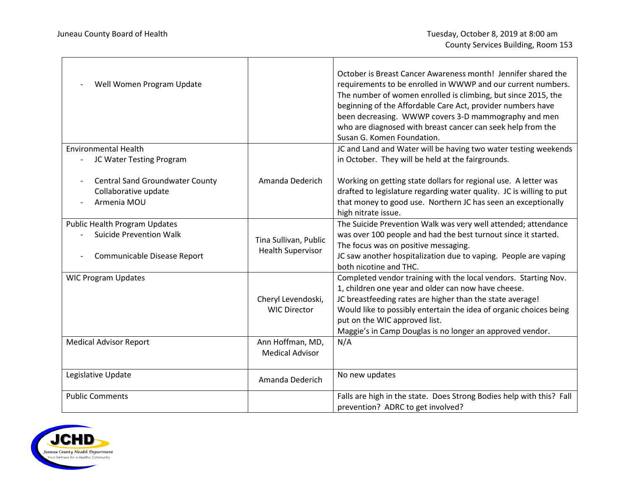$\overline{\phantom{0}}$ 

| Well Women Program Update                                                                             |                                                   | October is Breast Cancer Awareness month! Jennifer shared the<br>requirements to be enrolled in WWWP and our current numbers.<br>The number of women enrolled is climbing, but since 2015, the<br>beginning of the Affordable Care Act, provider numbers have<br>been decreasing. WWWP covers 3-D mammography and men<br>who are diagnosed with breast cancer can seek help from the<br>Susan G. Komen Foundation. |  |  |  |
|-------------------------------------------------------------------------------------------------------|---------------------------------------------------|--------------------------------------------------------------------------------------------------------------------------------------------------------------------------------------------------------------------------------------------------------------------------------------------------------------------------------------------------------------------------------------------------------------------|--|--|--|
| <b>Environmental Health</b><br>JC Water Testing Program                                               |                                                   | JC and Land and Water will be having two water testing weekends<br>in October. They will be held at the fairgrounds.                                                                                                                                                                                                                                                                                               |  |  |  |
| <b>Central Sand Groundwater County</b><br>Collaborative update<br>Armenia MOU                         | Amanda Dederich                                   | Working on getting state dollars for regional use. A letter was<br>drafted to legislature regarding water quality. JC is willing to put<br>that money to good use. Northern JC has seen an exceptionally<br>high nitrate issue.                                                                                                                                                                                    |  |  |  |
| <b>Public Health Program Updates</b><br><b>Suicide Prevention Walk</b><br>Communicable Disease Report | Tina Sullivan, Public<br><b>Health Supervisor</b> | The Suicide Prevention Walk was very well attended; attendance<br>was over 100 people and had the best turnout since it started.<br>The focus was on positive messaging.<br>JC saw another hospitalization due to vaping. People are vaping<br>both nicotine and THC.                                                                                                                                              |  |  |  |
| <b>WIC Program Updates</b>                                                                            | Cheryl Levendoski,<br><b>WIC Director</b>         | Completed vendor training with the local vendors. Starting Nov.<br>1, children one year and older can now have cheese.<br>JC breastfeeding rates are higher than the state average!<br>Would like to possibly entertain the idea of organic choices being<br>put on the WIC approved list.<br>Maggie's in Camp Douglas is no longer an approved vendor.                                                            |  |  |  |
| <b>Medical Advisor Report</b>                                                                         | Ann Hoffman, MD,<br><b>Medical Advisor</b>        | N/A                                                                                                                                                                                                                                                                                                                                                                                                                |  |  |  |
| Legislative Update                                                                                    | Amanda Dederich                                   | No new updates                                                                                                                                                                                                                                                                                                                                                                                                     |  |  |  |
| <b>Public Comments</b>                                                                                |                                                   | Falls are high in the state. Does Strong Bodies help with this? Fall<br>prevention? ADRC to get involved?                                                                                                                                                                                                                                                                                                          |  |  |  |

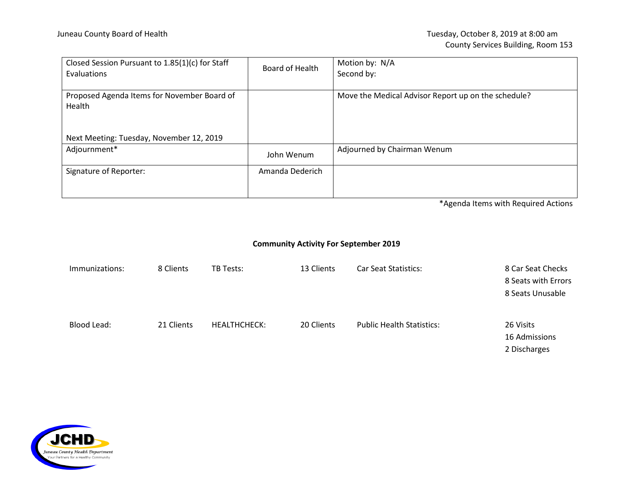| Closed Session Pursuant to 1.85(1)(c) for Staff<br><b>Evaluations</b> | Board of Health | Motion by: N/A<br>Second by:                        |
|-----------------------------------------------------------------------|-----------------|-----------------------------------------------------|
| Proposed Agenda Items for November Board of<br>Health                 |                 | Move the Medical Advisor Report up on the schedule? |
| Next Meeting: Tuesday, November 12, 2019                              |                 |                                                     |
| Adjournment*                                                          | John Wenum      | Adjourned by Chairman Wenum                         |
| Signature of Reporter:                                                | Amanda Dederich |                                                     |

\*Agenda Items with Required Actions

## **Community Activity For September 2019**

| Immunizations: | 8 Clients  | <b>TB Tests:</b>    | 13 Clients | <b>Car Seat Statistics:</b>      | 8 Car Seat Checks<br>8 Seats with Errors<br>8 Seats Unusable |
|----------------|------------|---------------------|------------|----------------------------------|--------------------------------------------------------------|
| Blood Lead:    | 21 Clients | <b>HEALTHCHECK:</b> | 20 Clients | <b>Public Health Statistics:</b> | 26 Visits<br>16 Admissions<br>2 Discharges                   |